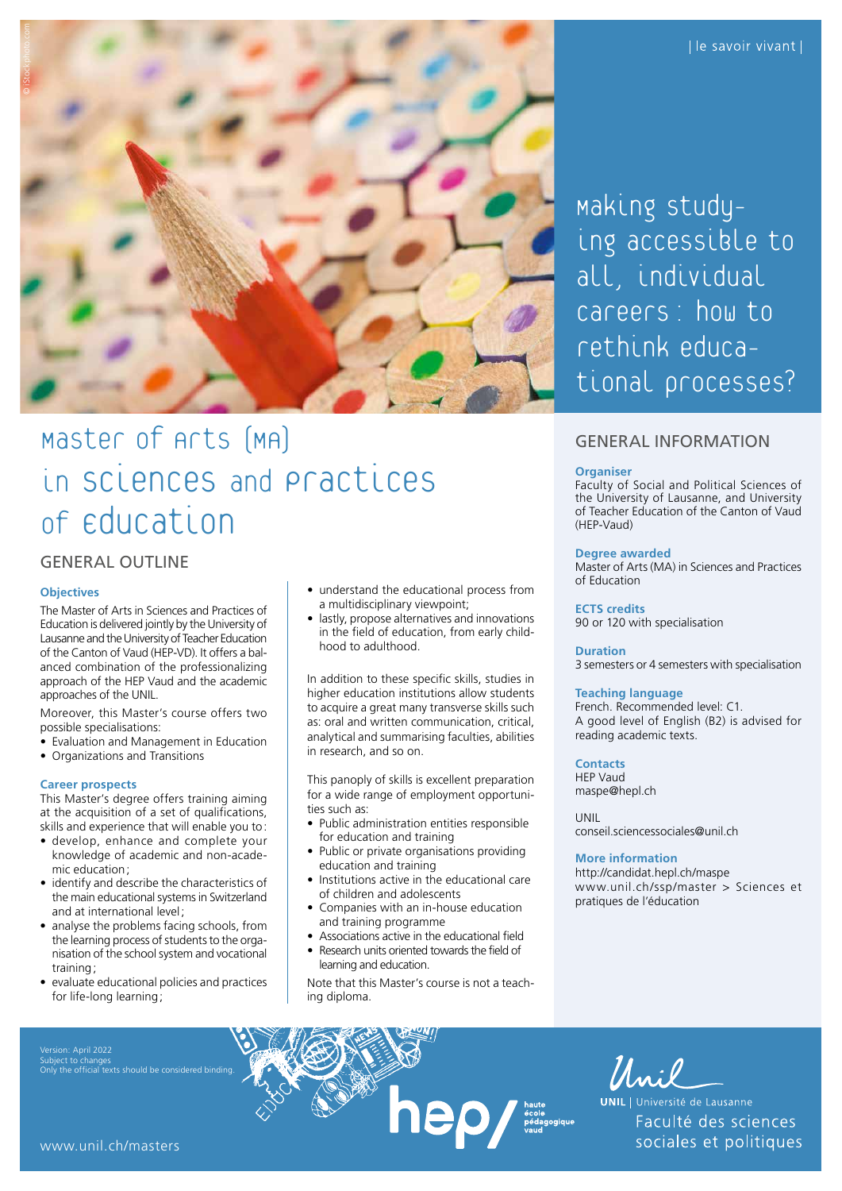

# Master of Arts (MA) in ScienceS and Practices of Education

# GENERAL OUTLINE

### **Objectives**

The Master of Arts in Sciences and Practices of Education is delivered jointly by the University of Lausanne and the University of Teacher Education of the Canton of Vaud (HEP-VD). It offers a balanced combination of the professionalizing approach of the HEP Vaud and the academic approaches of the UNIL.

Moreover, this Master's course offers two possible specialisations:

- Evaluation and Management in Education
- Organizations and Transitions

### **Career prospects**

This Master's degree offers training aiming at the acquisition of a set of qualifications, skills and experience that will enable you to:

- develop, enhance and complete your knowledge of academic and non-academic education;
- identify and describe the characteristics of the main educational systems in Switzerland and at international level;
- analyse the problems facing schools, from the learning process of students to the organisation of the school system and vocational training;
- evaluate educational policies and practices for life-long learning;
- Subject to changes Only the official texts should be considered binding.
- understand the educational process from a multidisciplinary viewpoint;
- lastly, propose alternatives and innovations in the field of education, from early childhood to adulthood.

In addition to these specific skills, studies in higher education institutions allow students to acquire a great many transverse skills such as: oral and written communication, critical, analytical and summarising faculties, abilities in research, and so on.

This panoply of skills is excellent preparation for a wide range of employment opportunities such as:

- Public administration entities responsible for education and training
- Public or private organisations providing education and training
- Institutions active in the educational care of children and adolescents
- Companies with an in-house education and training programme
- Associations active in the educational field • Research units oriented towards the field of learning and education.
- Note that this Master's course is not a teaching diploma.

**DED** *M* haute pédagogique

Making studying accessible to all, individual careers: how to rethink educational processes?

### GENERAL INFORMATION

#### **Organiser**

Faculty of Social and Political Sciences of the University of Lausanne, and University of Teacher Education of the Canton of Vaud (HEP-Vaud)

### **Degree awarded**

Master of Arts (MA) in Sciences and Practices of Education

**ECTS credits**

90 or 120 with specialisation

### **Duration**

3 semesters or 4 semesters with specialisation

### **Teaching language**

French. Recommended level: C1. A good level of English (B2) is advised for reading academic texts.

### **Contacts**

HEP Vaud [maspe@hepl.ch](mailto:maspe@hepl.ch)

UNIL

[conseil.sciencessociales@unil.ch](mailto:conseil.sciencessociales@unil.ch)

### **More information**

<http://candidat.hepl.ch/maspe> [www.unil.ch/ssp/master](http://www.unil.ch/ssp/master) > Sciences et pratiques de l'éducation

*Muil*<br>UNIL | Université de Lausanne<br>Faculté des scie<br>Sociales et polit Faculté des sciences sociales et politiques

[www.unil.ch/masters](http://www.unil.ch/masters)